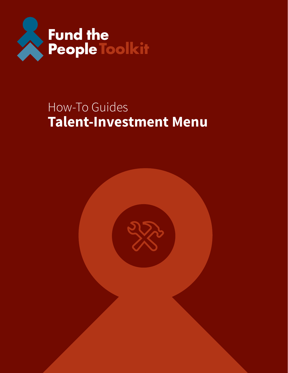

## How-To Guides **Talent-Investment Menu**

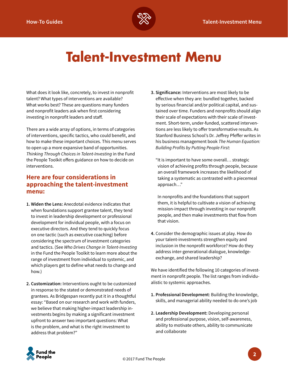

# **Talent-Investment Menu**

What does it look like, concretely, to invest in nonprofit talent? What types of interventions are available? What works best? These are questions many funders and nonprofit leaders ask when first considering investing in nonprofit leaders and staff.

There are a wide array of options, in terms of categories of interventions, specific tactics, who could benefit, and how to make these important choices. This menu serves to open up a more expansive band of opportunities. *Thinking Through Choices in Talent-Investing* in the Fund the People Toolkit offers guidance on how to decide on interventions.

#### **Here are four considerations in approaching the talent-investment menu:**

- **1. Widen the Lens:** Anecdotal evidence indicates that when foundations support grantee talent, they tend to invest in leadership development or professional development for individual people, with a focus on executive directors. And they tend to quickly focus on one tactic (such as executive coaching) before considering the spectrum of investment categories and tactics. (See *Who Drives Change in Talent-Investing* in the Fund the People Toolkit to learn more about the range of investment from individual to systemic, and which players get to define what needs to change and how.)
- **2. Customization:** Interventions ought to be customized in response to the stated or demonstrated needs of grantees. As Bridgespan recently put it in a thoughtful essay: "Based on our research and work with funders, we believe that making higher-impact leadership investments begins by making a significant investment upfront to answer two important questions: What is the problem, and what is the right investment to address that problem?"

**3. Significance:** Interventions are most likely to be effective when they are: bundled together, backed by serious financial and/or political capital, and sustained over time. Funders and nonprofits should align their scale of expectations with their scale of investment. Short-term, under-funded, scattered interventions are less likely to offer transformative results. As Stanford Business School's Dr. Jeffrey Pfeffer writes in his business management book *The Human Equation: Building Profits by Putting People First*:

"It is important to have some overall… strategic vision of achieving profits through people, because an overall framework increases the likelihood of taking a systematic as contrasted with a piecemeal approach…"

In nonprofits and the foundations that support them, it is helpful to cultivate a vision of achieving mission-impact through investing in our nonprofit people, and then make investments that flow from that vision.

**4.** Consider the demographic issues at play. How do your talent-investments strengthen equity and inclusion in the nonprofit workforce? How do they address inter-generational dialogue, knowledgeexchange, and shared leadership?

We have identified the following 10 categories of investment in nonprofit people. The list ranges from individualistic to systemic approaches.

- **1. Professional Development**: Building the knowledge, skills, and managerial ability needed to do one's job
- **2. Leadership Development:** Developing personal and professional purpose, vision, self-awareness, ability to motivate others, ability to communicate and collaborate

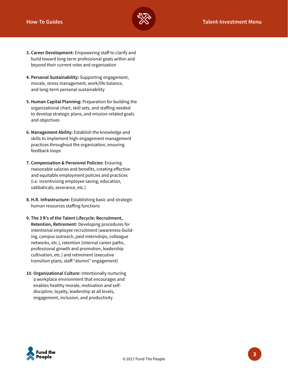

- **3. Career Development:** Empowering staff to clarify and build toward long-term professional goals within and beyond their current roles and organization
- **4. Personal Sustainability:** Supporting engagement, morale, stress management, work/life balance, and long-term personal sustainability
- **5. Human Capital Planning:** Preparation for building the organizational chart, skill sets, and staffing needed to develop strategic plans, and mission-related goals and objectives
- **6. Management Ability:** Establish the knowledge and skills to implement high-engagement management practices throughout the organization, ensuring feedback loops
- **7. Compensation & Personnel Policies:** Ensuring reasonable salaries and benefits, creating effective and equitable employment policies and practices (i.e. incentivizing employee saving, education, sabbaticals, severance, etc.)
- **8. H.R. Infrastructure:** Establishing basic and strategic human resources staffing functions
- **9. The 3 R's of the Talent Lifecycle: Recruitment, Retention, Retirement:** Developing procedures for intentional employee recruitment (awareness-building, campus outreach, paid internships, colleague networks, etc.), retention (internal career paths, professional growth and promotion, leadership cultivation, etc.) and retirement (executive transition plans, staff "alumni" engagement)
- **10. Organizational Culture:** Intentionally nurturing a workplace environment that encourages and enables healthy morale, motivation and selfdiscipline, loyalty, leadership at all levels, engagement, inclusion, and productivity